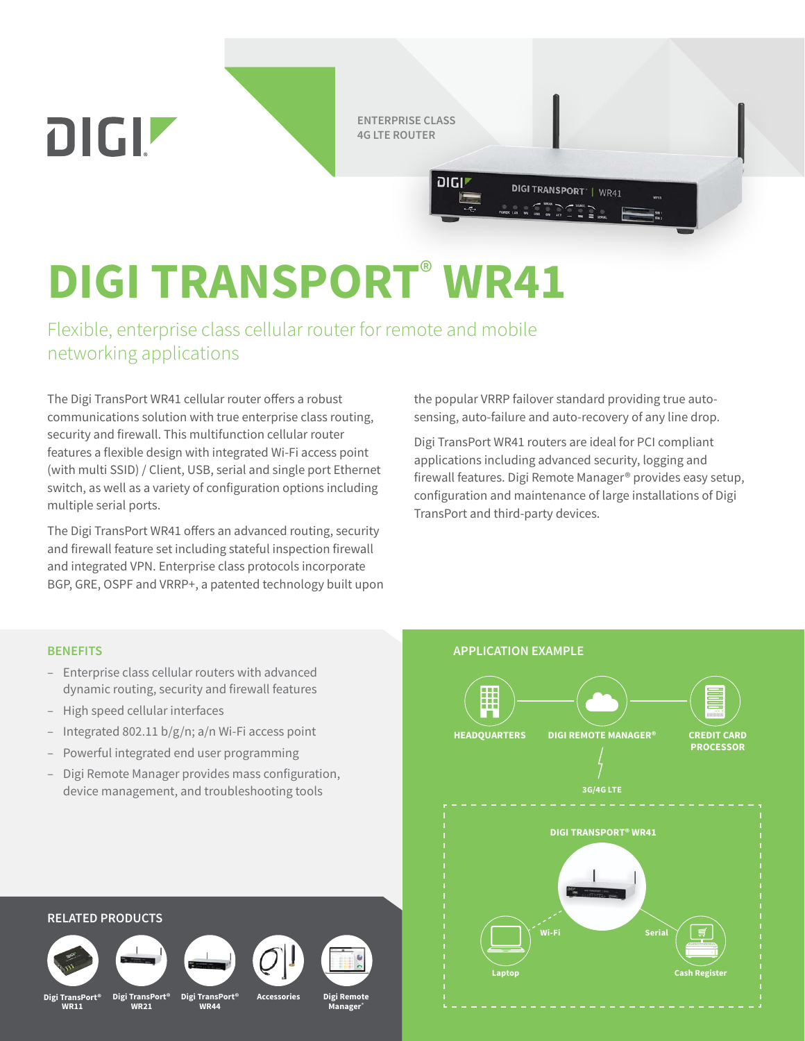**ENTERPRISE CLASS 4G LTE ROUTER**

יוטום

# **DIGI TRANSPORT**® **WR41**

Flexible, enterprise class cellular router for remote and mobile networking applications

The Digi TransPort WR41 cellular router offers a robust communications solution with true enterprise class routing, security and firewall. This multifunction cellular router features a flexible design with integrated Wi-Fi access point (with multi SSID) / Client, USB, serial and single port Ethernet switch, as well as a variety of configuration options including multiple serial ports.

The Digi TransPort WR41 offers an advanced routing, security and firewall feature set including stateful inspection firewall and integrated VPN. Enterprise class protocols incorporate BGP, GRE, OSPF and VRRP+, a patented technology built upon the popular VRRP failover standard providing true autosensing, auto-failure and auto-recovery of any line drop.

**DIGI TRANSPORT | WR41** 

Digi TransPort WR41 routers are ideal for PCI compliant applications including advanced security, logging and firewall features. Digi Remote Manager® provides easy setup, configuration and maintenance of large installations of Digi TransPort and third-party devices.

- Enterprise class cellular routers with advanced dynamic routing, security and firewall features
- High speed cellular interfaces

DIGIZ

- Integrated 802.11  $b/g/n$ ; a/n Wi-Fi access point
- Powerful integrated end user programming
- Digi Remote Manager provides mass configuration, device management, and troubleshooting tools



## **RELATED PRODUCTS**



**WR21**

**Digi TransPort®**

**Digi TransPort®**

**WR44**

**Accessories Digi Remote** 

**Manager®**

**Digi TransPort® WR11**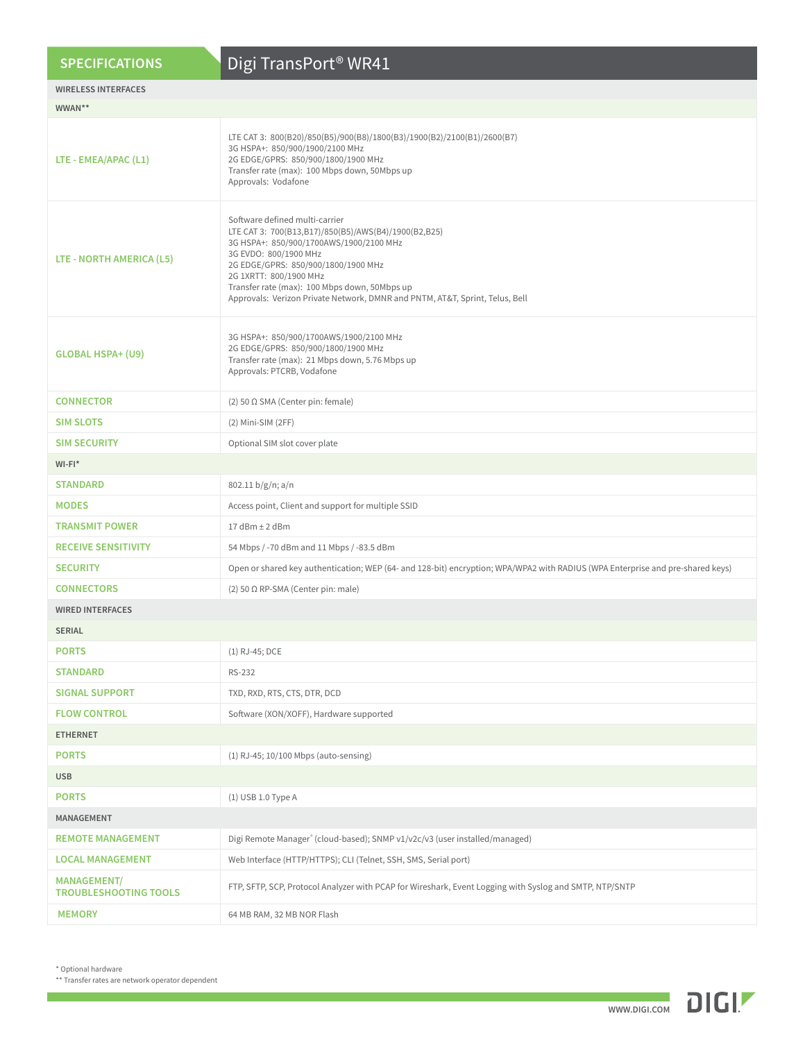| <b>SPECIFICATIONS</b>                              | Digi TransPort <sup>®</sup> WR41                                                                                                                                                                                                                                                                                                                             |  |  |  |  |  |  |
|----------------------------------------------------|--------------------------------------------------------------------------------------------------------------------------------------------------------------------------------------------------------------------------------------------------------------------------------------------------------------------------------------------------------------|--|--|--|--|--|--|
| <b>WIRELESS INTERFACES</b>                         |                                                                                                                                                                                                                                                                                                                                                              |  |  |  |  |  |  |
| WWAN**                                             |                                                                                                                                                                                                                                                                                                                                                              |  |  |  |  |  |  |
| LTE - EMEA/APAC (L1)                               | LTE CAT 3: 800(B20)/850(B5)/900(B8)/1800(B3)/1900(B2)/2100(B1)/2600(B7)<br>3G HSPA+: 850/900/1900/2100 MHz<br>2G EDGE/GPRS: 850/900/1800/1900 MHz<br>Transfer rate (max): 100 Mbps down, 50Mbps up<br>Approvals: Vodafone                                                                                                                                    |  |  |  |  |  |  |
| LTE - NORTH AMERICA (L5)                           | Software defined multi-carrier<br>LTE CAT 3: 700(B13,B17)/850(B5)/AWS(B4)/1900(B2,B25)<br>3G HSPA+: 850/900/1700AWS/1900/2100 MHz<br>3G EVDO: 800/1900 MHz<br>2G EDGE/GPRS: 850/900/1800/1900 MHz<br>2G 1XRTT: 800/1900 MHz<br>Transfer rate (max): 100 Mbps down, 50Mbps up<br>Approvals: Verizon Private Network, DMNR and PNTM, AT&T, Sprint, Telus, Bell |  |  |  |  |  |  |
| <b>GLOBAL HSPA+ (U9)</b>                           | 3G HSPA+: 850/900/1700AWS/1900/2100 MHz<br>2G EDGE/GPRS: 850/900/1800/1900 MHz<br>Transfer rate (max): 21 Mbps down, 5.76 Mbps up<br>Approvals: PTCRB, Vodafone                                                                                                                                                                                              |  |  |  |  |  |  |
| <b>CONNECTOR</b>                                   | (2) 50 Ω SMA (Center pin: female)                                                                                                                                                                                                                                                                                                                            |  |  |  |  |  |  |
| <b>SIM SLOTS</b>                                   | (2) Mini-SIM (2FF)                                                                                                                                                                                                                                                                                                                                           |  |  |  |  |  |  |
| <b>SIM SECURITY</b>                                | Optional SIM slot cover plate                                                                                                                                                                                                                                                                                                                                |  |  |  |  |  |  |
| $WI-FI^*$                                          |                                                                                                                                                                                                                                                                                                                                                              |  |  |  |  |  |  |
| <b>STANDARD</b>                                    | 802.11 b/g/n; a/n                                                                                                                                                                                                                                                                                                                                            |  |  |  |  |  |  |
| <b>MODES</b>                                       | Access point, Client and support for multiple SSID                                                                                                                                                                                                                                                                                                           |  |  |  |  |  |  |
| <b>TRANSMIT POWER</b>                              | $17$ dBm $\pm$ 2 dBm                                                                                                                                                                                                                                                                                                                                         |  |  |  |  |  |  |
| <b>RECEIVE SENSITIVITY</b>                         | 54 Mbps / -70 dBm and 11 Mbps / -83.5 dBm                                                                                                                                                                                                                                                                                                                    |  |  |  |  |  |  |
| <b>SECURITY</b>                                    | Open or shared key authentication; WEP (64- and 128-bit) encryption; WPA/WPA2 with RADIUS (WPA Enterprise and pre-shared keys)                                                                                                                                                                                                                               |  |  |  |  |  |  |
| <b>CONNECTORS</b>                                  | (2) 50 $\Omega$ RP-SMA (Center pin: male)                                                                                                                                                                                                                                                                                                                    |  |  |  |  |  |  |
| <b>WIRED INTERFACES</b>                            |                                                                                                                                                                                                                                                                                                                                                              |  |  |  |  |  |  |
| <b>SERIAL</b>                                      |                                                                                                                                                                                                                                                                                                                                                              |  |  |  |  |  |  |
| <b>PORTS</b>                                       | (1) RJ-45; DCE                                                                                                                                                                                                                                                                                                                                               |  |  |  |  |  |  |
| <b>STANDARD</b>                                    | RS-232                                                                                                                                                                                                                                                                                                                                                       |  |  |  |  |  |  |
| <b>SIGNAL SUPPORT</b>                              | TXD, RXD, RTS, CTS, DTR, DCD                                                                                                                                                                                                                                                                                                                                 |  |  |  |  |  |  |
| <b>FLOW CONTROL</b>                                | Software (XON/XOFF), Hardware supported                                                                                                                                                                                                                                                                                                                      |  |  |  |  |  |  |
| <b>ETHERNET</b>                                    |                                                                                                                                                                                                                                                                                                                                                              |  |  |  |  |  |  |
| <b>PORTS</b>                                       | (1) RJ-45; 10/100 Mbps (auto-sensing)                                                                                                                                                                                                                                                                                                                        |  |  |  |  |  |  |
| <b>USB</b>                                         |                                                                                                                                                                                                                                                                                                                                                              |  |  |  |  |  |  |
| <b>PORTS</b>                                       | (1) USB 1.0 Type A                                                                                                                                                                                                                                                                                                                                           |  |  |  |  |  |  |
| MANAGEMENT                                         |                                                                                                                                                                                                                                                                                                                                                              |  |  |  |  |  |  |
| <b>REMOTE MANAGEMENT</b>                           | Digi Remote Manager® (cloud-based); SNMP v1/v2c/v3 (user installed/managed)                                                                                                                                                                                                                                                                                  |  |  |  |  |  |  |
| <b>LOCAL MANAGEMENT</b>                            | Web Interface (HTTP/HTTPS); CLI (Telnet, SSH, SMS, Serial port)                                                                                                                                                                                                                                                                                              |  |  |  |  |  |  |
| <b>MANAGEMENT/</b><br><b>TROUBLESHOOTING TOOLS</b> | FTP, SFTP, SCP, Protocol Analyzer with PCAP for Wireshark, Event Logging with Syslog and SMTP, NTP/SNTP                                                                                                                                                                                                                                                      |  |  |  |  |  |  |
| <b>MEMORY</b>                                      | 64 MB RAM, 32 MB NOR Flash                                                                                                                                                                                                                                                                                                                                   |  |  |  |  |  |  |

\* Optional hardware



<sup>\*\*</sup> Transfer rates are network operator dependent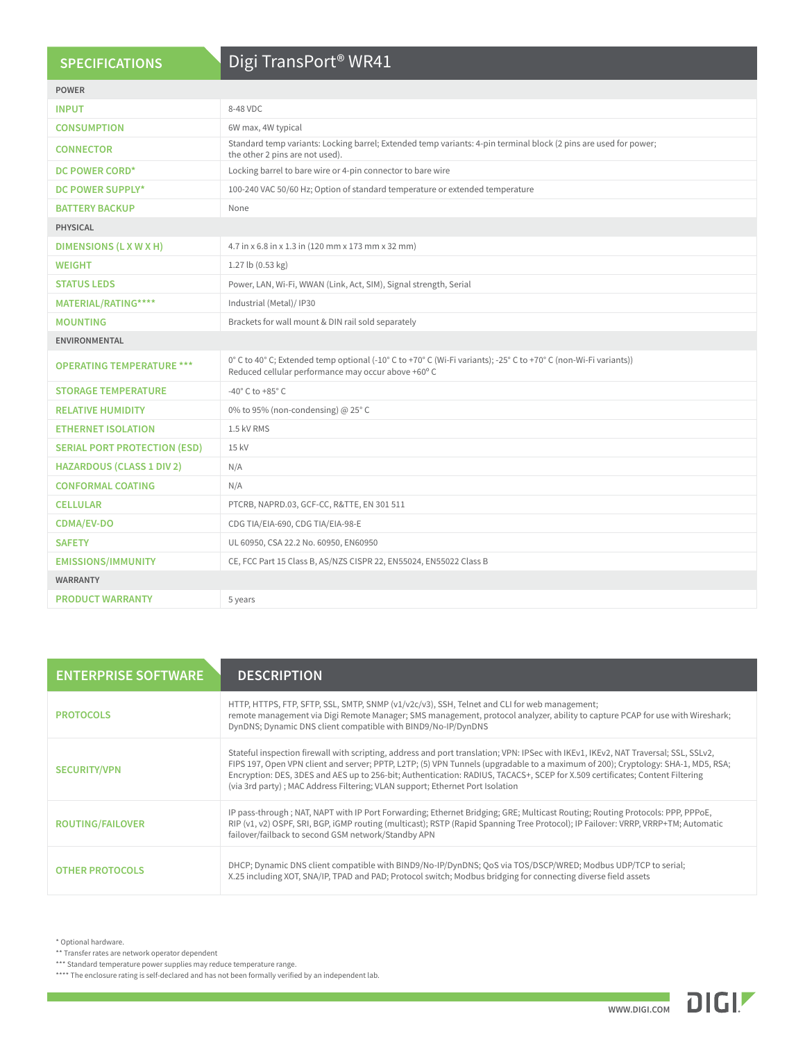#### **SPECIFICATIONS**

### Digi TransPort® WR41

|                                     | $\sim$                                                                                                                                                                  |  |  |  |  |  |
|-------------------------------------|-------------------------------------------------------------------------------------------------------------------------------------------------------------------------|--|--|--|--|--|
| <b>POWER</b>                        |                                                                                                                                                                         |  |  |  |  |  |
| <b>INPUT</b>                        | 8-48 VDC                                                                                                                                                                |  |  |  |  |  |
| <b>CONSUMPTION</b>                  | 6W max, 4W typical                                                                                                                                                      |  |  |  |  |  |
| <b>CONNECTOR</b>                    | Standard temp variants: Locking barrel; Extended temp variants: 4-pin terminal block (2 pins are used for power;<br>the other 2 pins are not used).                     |  |  |  |  |  |
| DC POWER CORD*                      | Locking barrel to bare wire or 4-pin connector to bare wire                                                                                                             |  |  |  |  |  |
| <b>DC POWER SUPPLY*</b>             | 100-240 VAC 50/60 Hz; Option of standard temperature or extended temperature                                                                                            |  |  |  |  |  |
| <b>BATTERY BACKUP</b>               | None                                                                                                                                                                    |  |  |  |  |  |
| <b>PHYSICAL</b>                     |                                                                                                                                                                         |  |  |  |  |  |
| DIMENSIONS (L X W X H)              | 4.7 in x 6.8 in x 1.3 in (120 mm x 173 mm x 32 mm)                                                                                                                      |  |  |  |  |  |
| <b>WEIGHT</b>                       | 1.27 lb (0.53 kg)                                                                                                                                                       |  |  |  |  |  |
| <b>STATUS LEDS</b>                  | Power, LAN, Wi-Fi, WWAN (Link, Act, SIM), Signal strength, Serial                                                                                                       |  |  |  |  |  |
| MATERIAL/RATING****                 | Industrial (Metal)/ IP30                                                                                                                                                |  |  |  |  |  |
| <b>MOUNTING</b>                     | Brackets for wall mount & DIN rail sold separately                                                                                                                      |  |  |  |  |  |
| <b>ENVIRONMENTAL</b>                |                                                                                                                                                                         |  |  |  |  |  |
| <b>OPERATING TEMPERATURE ***</b>    | 0° C to 40° C; Extended temp optional (-10° C to +70° C (Wi-Fi variants); -25° C to +70° C (non-Wi-Fi variants))<br>Reduced cellular performance may occur above +60° C |  |  |  |  |  |
| <b>STORAGE TEMPERATURE</b>          | -40 $^{\circ}$ C to +85 $^{\circ}$ C                                                                                                                                    |  |  |  |  |  |
| <b>RELATIVE HUMIDITY</b>            | 0% to 95% (non-condensing) @ 25°C                                                                                                                                       |  |  |  |  |  |
| <b>ETHERNET ISOLATION</b>           | 1.5 kV RMS                                                                                                                                                              |  |  |  |  |  |
| <b>SERIAL PORT PROTECTION (ESD)</b> | 15 kV                                                                                                                                                                   |  |  |  |  |  |
| <b>HAZARDOUS (CLASS 1 DIV 2)</b>    | N/A                                                                                                                                                                     |  |  |  |  |  |
| <b>CONFORMAL COATING</b>            | N/A                                                                                                                                                                     |  |  |  |  |  |
| <b>CELLULAR</b>                     | PTCRB, NAPRD.03, GCF-CC, R&TTE, EN 301 511                                                                                                                              |  |  |  |  |  |
| <b>CDMA/EV-DO</b>                   | CDG TIA/EIA-690, CDG TIA/EIA-98-E                                                                                                                                       |  |  |  |  |  |
| <b>SAFETY</b>                       | UL 60950, CSA 22.2 No. 60950, EN60950                                                                                                                                   |  |  |  |  |  |
| <b>EMISSIONS/IMMUNITY</b>           | CE, FCC Part 15 Class B, AS/NZS CISPR 22, EN55024, EN55022 Class B                                                                                                      |  |  |  |  |  |
| <b>WARRANTY</b>                     |                                                                                                                                                                         |  |  |  |  |  |
| <b>PRODUCT WARRANTY</b>             | 5 years                                                                                                                                                                 |  |  |  |  |  |
|                                     |                                                                                                                                                                         |  |  |  |  |  |

| <b>ENTERPRISE SOFTWARE</b> | <b>DESCRIPTION</b>                                                                                                                                                                                                                                                                                                                                                                                                                                                                       |
|----------------------------|------------------------------------------------------------------------------------------------------------------------------------------------------------------------------------------------------------------------------------------------------------------------------------------------------------------------------------------------------------------------------------------------------------------------------------------------------------------------------------------|
| <b>PROTOCOLS</b>           | HTTP, HTTPS, FTP, SFTP, SSL, SMTP, SNMP (v1/v2c/v3), SSH, Telnet and CLI for web management;<br>remote management via Digi Remote Manager; SMS management, protocol analyzer, ability to capture PCAP for use with Wireshark;<br>DynDNS; Dynamic DNS client compatible with BIND9/No-IP/DynDNS                                                                                                                                                                                           |
| <b>SECURITY/VPN</b>        | Stateful inspection firewall with scripting, address and port translation; VPN: IPSec with IKEv1, IKEv2, NAT Traversal; SSL, SSLv2,<br>FIPS 197, Open VPN client and server; PPTP, L2TP; (5) VPN Tunnels (upgradable to a maximum of 200); Cryptology: SHA-1, MD5, RSA;<br>Encryption: DES, 3DES and AES up to 256-bit; Authentication: RADIUS, TACACS+, SCEP for X.509 certificates; Content Filtering<br>(via 3rd party); MAC Address Filtering; VLAN support; Ethernet Port Isolation |
| <b>ROUTING/FAILOVER</b>    | IP pass-through; NAT, NAPT with IP Port Forwarding; Ethernet Bridging; GRE; Multicast Routing; Routing Protocols: PPP, PPPoE,<br>RIP (v1, v2) OSPF, SRI, BGP, iGMP routing (multicast); RSTP (Rapid Spanning Tree Protocol); IP Failover: VRRP, VRRP+TM; Automatic<br>failover/failback to second GSM network/Standby APN                                                                                                                                                                |
| <b>OTHER PROTOCOLS</b>     | DHCP; Dynamic DNS client compatible with BIND9/No-IP/DynDNS; QoS via TOS/DSCP/WRED; Modbus UDP/TCP to serial;<br>X.25 including XOT, SNA/IP, TPAD and PAD; Protocol switch; Modbus bridging for connecting diverse field assets                                                                                                                                                                                                                                                          |

\* Optional hardware.

\*\* Transfer rates are network operator dependent

\*\*\* Standard temperature power supplies may reduce temperature range.

\*\*\*\* The enclosure rating is self-declared and has not been formally verified by an independent lab.